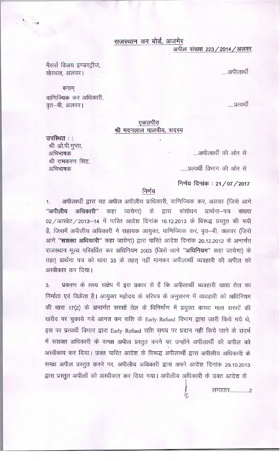राजस्थान कर बोर्ड, अजमेर

अपील संख्या 223 / 2014 / अलवर

.....अपीलार्थी

मैसर्स विजय इण्डस्ट्रीज, खेरथल, अलवर।

बनाम्

उपस्थित ::

अभिभाषक

अभिभाषक

श्री ओ.पी.गुप्ता,

श्री रामकरण सिंह,

वाणिज्यिक कर अधिकारी, वृत–बी, अलवर।

## .....प्रत्यर्थी

## एकलपीठ श्री मदनलाल मालवीय, सदस्य

....अपीलार्थी की ओर से

......प्रत्यर्थी विभाग की ओर से

निर्णय दिनांक: 21/07/2017

## निर्णय

अपीलार्थी द्वारा यह अपील अपीलीय प्राधिकारी, वाणिज्यिक कर, अलवर (जिसे आगे  $1.$ "अपीलीय अधिकारी" कहा जायेगा) के द्वारा संशोधन प्रार्थना-पत्र संख्या 02 / आरवेट / 2013-14 में पारित आदेश दिनांक 16.12.2013 के विरूद्ध प्रस्तुत की गयी है, जिसमें अपीलीय अधिकारी ने सहायक आयुक्त, वाणिज्यिक कर, वृत–बी, अलवर (जिसे आगे "सशक्त अधिकारी" कहा जायेगा) द्वारा पारित आदेश दिनांक 20.12.2012 के अन्तर्गत राजस्थान मूल्य परिवर्धित कर अधिनियम 2003 (जिसे आगे "अधिनियम" कहा जायेगा) के तहत् प्रार्थना पत्र को धारा 33 के तहत् नहीं मानकर अपीलार्थी व्यवहारी की अपील को अस्वीकार कर दिया।

प्रकरण के तथ्य संक्षेप में इस प्रकार से हैं कि अपीलार्थी व्यवहारी खाद्य तेल का  $3.$ निर्माता एवं विक्रेता है। आयुक्त महोदय के परिपत्र के अनुसरण में व्यवहारी को अधिनियम की धारा 17(2) के अन्तर्गत सरसों तेल के विनिर्माण में प्रयुक्त कच्चा माल सरसों की खरीद पर चुकाये गये आगत कर राशि के Early Refund विभाग द्वारा जारी किये गये थे, इस पर प्रत्यर्थी विभाग द्वारा Early Refund राशि समय पर प्रदान नहीं किये जाने के संदर्भ में सशक्त अधिकारी के समक्ष अपील प्रस्तुत करने पर उन्होंने अपीलार्थी की अपील को अस्वीकार कर दिया। उक्त पारित आदेश के विरूद्ध अपीलार्थी द्वारा अपीलीय अधिकारी के समक्ष अपील प्रस्तुत करने पर, अपीलीय अधिकारी द्वारा अपने आदेश दिनांक 29.10.2013 द्वारा प्रस्तुत अपीलों को अस्वीकार कर दिया गया। अपीलीय अधिकारी के उक्त आदेश के

लगातार.......................2

Й,